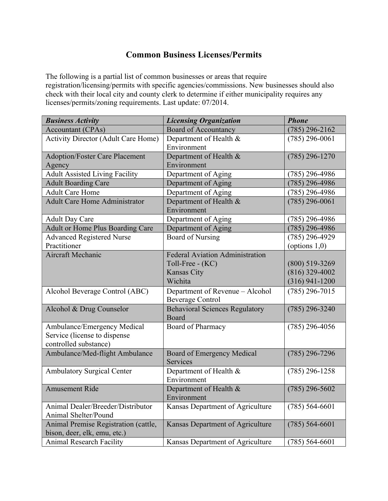## **Common Business Licenses/Permits**

The following is a partial list of common businesses or areas that require registration/licensing/permits with specific agencies/commissions. New businesses should also check with their local city and county clerk to determine if either municipality requires any licenses/permits/zoning requirements. Last update: 07/2014.

| <b>Business Activity</b>                   | <b>Licensing Organization</b>          | <b>Phone</b>     |
|--------------------------------------------|----------------------------------------|------------------|
| <b>Accountant (CPAs)</b>                   | <b>Board of Accountancy</b>            | $(785)$ 296-2162 |
| <b>Activity Director (Adult Care Home)</b> | Department of Health &                 | $(785)$ 296-0061 |
|                                            | Environment                            |                  |
| <b>Adoption/Foster Care Placement</b>      | Department of Health &                 | $(785)$ 296-1270 |
| Agency                                     | Environment                            |                  |
| <b>Adult Assisted Living Facility</b>      | Department of Aging                    | $(785)$ 296-4986 |
| <b>Adult Boarding Care</b>                 | Department of Aging                    | $(785)$ 296-4986 |
| <b>Adult Care Home</b>                     | Department of Aging                    | $(785)$ 296-4986 |
| <b>Adult Care Home Administrator</b>       | Department of Health &                 | $(785)$ 296-0061 |
|                                            | Environment                            |                  |
| <b>Adult Day Care</b>                      | Department of Aging                    | $(785)$ 296-4986 |
| <b>Adult or Home Plus Boarding Care</b>    | Department of Aging                    | $(785)$ 296-4986 |
| <b>Advanced Registered Nurse</b>           | <b>Board of Nursing</b>                | $(785)$ 296-4929 |
| Practitioner                               |                                        | (options $1,0$ ) |
| Aircraft Mechanic                          | <b>Federal Aviation Administration</b> |                  |
|                                            | Toll-Free - (KC)                       | $(800)$ 519-3269 |
|                                            | <b>Kansas City</b>                     | $(816)$ 329-4002 |
|                                            | Wichita                                | $(316)$ 941-1200 |
| Alcohol Beverage Control (ABC)             | Department of Revenue - Alcohol        | $(785)$ 296-7015 |
|                                            | <b>Beverage Control</b>                |                  |
| Alcohol & Drug Counselor                   | <b>Behavioral Sciences Regulatory</b>  | $(785)$ 296-3240 |
|                                            | Board                                  |                  |
| Ambulance/Emergency Medical                | Board of Pharmacy                      | $(785)$ 296-4056 |
| Service (license to dispense               |                                        |                  |
| controlled substance)                      |                                        |                  |
| Ambulance/Med-flight Ambulance             | <b>Board of Emergency Medical</b>      | $(785)$ 296-7296 |
|                                            | Services                               |                  |
| <b>Ambulatory Surgical Center</b>          | Department of Health &                 | $(785)$ 296-1258 |
|                                            | Environment                            |                  |
| <b>Amusement Ride</b>                      | Department of Health &                 | $(785)$ 296-5602 |
|                                            | Environment                            |                  |
| Animal Dealer/Breeder/Distributor          | Kansas Department of Agriculture       | $(785) 564-6601$ |
| Animal Shelter/Pound                       |                                        |                  |
| Animal Premise Registration (cattle,       | Kansas Department of Agriculture       | $(785) 564-6601$ |
| bison, deer, elk, emu, etc.)               |                                        |                  |
| <b>Animal Research Facility</b>            | Kansas Department of Agriculture       | $(785) 564-6601$ |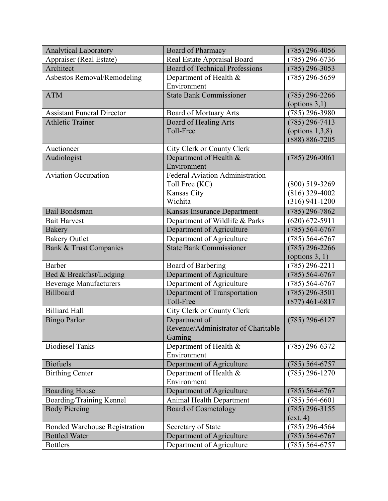| <b>Analytical Laboratory</b>         | <b>Board of Pharmacy</b>                                    | $(785)$ 296-4056                      |
|--------------------------------------|-------------------------------------------------------------|---------------------------------------|
| Appraiser (Real Estate)              | Real Estate Appraisal Board                                 | $(785)$ 296-6736                      |
| Architect                            | <b>Board of Technical Professions</b>                       | $(785)$ 296-3053                      |
| Asbestos Removal/Remodeling          | Department of Health &                                      | $(785)$ 296-5659                      |
|                                      | Environment                                                 |                                       |
| <b>ATM</b>                           | <b>State Bank Commissioner</b>                              | $(785)$ 296-2266                      |
|                                      |                                                             | (options $3,1$ )                      |
| <b>Assistant Funeral Director</b>    | <b>Board of Mortuary Arts</b>                               | $(785)$ 296-3980                      |
| <b>Athletic Trainer</b>              | <b>Board of Healing Arts</b>                                | $(785)$ 296-7413                      |
|                                      | Toll-Free                                                   | (options $1,3,8$ )                    |
|                                      |                                                             | $(888) 886 - 7205$                    |
| Auctioneer                           | City Clerk or County Clerk                                  |                                       |
| Audiologist                          | Department of Health &                                      | $(785)$ 296-0061                      |
|                                      | Environment                                                 |                                       |
| <b>Aviation Occupation</b>           | Federal Aviation Administration                             |                                       |
|                                      | Toll Free (KC)<br>Kansas City                               | $(800)$ 519-3269                      |
|                                      | Wichita                                                     | $(816)$ 329-4002<br>$(316)$ 941-1200  |
| <b>Bail Bondsman</b>                 |                                                             |                                       |
|                                      | Kansas Insurance Department                                 | $(785)$ 296-7862                      |
| <b>Bait Harvest</b>                  | Department of Wildlife & Parks                              | $(620) 672 - 5911$                    |
| <b>Bakery</b>                        | Department of Agriculture                                   | $(785) 564 - 6767$                    |
| <b>Bakery Outlet</b>                 | Department of Agriculture<br><b>State Bank Commissioner</b> | $(785) 564 - 6767$                    |
| Bank & Trust Companies               |                                                             | $(785)$ 296-2266                      |
| <b>Barber</b>                        | Board of Barbering                                          | (options $3, 1$ )<br>$(785)$ 296-2211 |
| Bed & Breakfast/Lodging              | Department of Agriculture                                   | $(785) 564-6767$                      |
| <b>Beverage Manufacturers</b>        | Department of Agriculture                                   | $(785) 564 - 6767$                    |
| <b>Billboard</b>                     | Department of Transportation                                | $(785)$ 296-3501                      |
|                                      | Toll-Free                                                   | $(877)$ 461-6817                      |
| <b>Billiard Hall</b>                 | City Clerk or County Clerk                                  |                                       |
| <b>Bingo Parlor</b>                  | Department of                                               | $(785)$ 296-6127                      |
|                                      | Revenue/Administrator of Charitable                         |                                       |
|                                      | Gaming                                                      |                                       |
| <b>Biodiesel Tanks</b>               | Department of Health &                                      | $(785)$ 296-6372                      |
|                                      | Environment                                                 |                                       |
| <b>Biofuels</b>                      | Department of Agriculture                                   | $(785) 564-6757$                      |
| <b>Birthing Center</b>               | Department of Health &                                      | $(785)$ 296-1270                      |
|                                      | Environment                                                 |                                       |
| <b>Boarding House</b>                | Department of Agriculture                                   | $(785) 564-6767$                      |
| Boarding/Training Kennel             | Animal Health Department                                    | $(785) 564 - 6601$                    |
| <b>Body Piercing</b>                 | <b>Board of Cosmetology</b>                                 | $(785)$ 296-3155                      |
|                                      |                                                             | ext. 4)                               |
| <b>Bonded Warehouse Registration</b> | Secretary of State                                          | $(785)$ 296-4564                      |
| <b>Bottled Water</b>                 | Department of Agriculture                                   | $(785) 564-6767$                      |
| <b>Bottlers</b>                      | Department of Agriculture                                   | $(785) 564-6757$                      |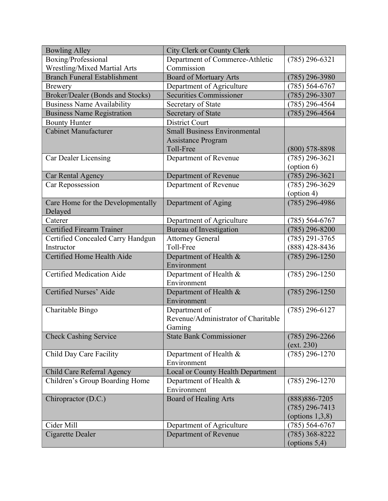| Boxing/Professional<br>Department of Commerce-Athletic<br>$(785)$ 296-6321<br><b>Wrestling/Mixed Martial Arts</b><br>Commission<br><b>Branch Funeral Establishment</b><br><b>Board of Mortuary Arts</b><br>$(785)$ 296-3980<br>Department of Agriculture<br>$(785) 564-6767$<br><b>Brewery</b><br>Broker/Dealer (Bonds and Stocks)<br><b>Securities Commissioner</b><br>$(785)$ 296-3307<br><b>Business Name Availability</b><br>Secretary of State<br>$(785)$ 296-4564<br><b>Business Name Registration</b><br>Secretary of State<br>$(785)$ 296-4564<br><b>Bounty Hunter</b><br><b>District Court</b><br><b>Cabinet Manufacturer</b><br><b>Small Business Environmental</b><br><b>Assistance Program</b><br>Toll-Free<br>$(800)$ 578-8898<br>Department of Revenue<br>Car Dealer Licensing<br>$(785)$ 296-3621<br>(option 6)<br>Department of Revenue<br>$(785)$ 296-3621<br>Car Rental Agency<br>$(785)$ 296-3629<br>Car Repossession<br>Department of Revenue<br>$($ option 4 $)$<br>$(785)$ 296-4986<br>Care Home for the Developmentally<br>Department of Aging<br>Delayed<br>Caterer<br>Department of Agriculture<br>$(785) 564-6767$<br><b>Certified Firearm Trainer</b><br>Bureau of Investigation<br>$(785)$ 296-8200<br><b>Attorney General</b><br>$(785)$ 291-3765<br>Certified Concealed Carry Handgun<br>Toll-Free<br>$(888)$ 428-8436<br>Instructor<br>Certified Home Health Aide<br>$(785)$ 296-1250<br>Department of Health &<br>Environment<br><b>Certified Medication Aide</b><br>$(785)$ 296-1250<br>Department of Health &<br>Environment<br>Certified Nurses' Aide<br>$(785)$ 296-1250<br>Department of Health &<br>Environment<br>$(785)$ 296-6127<br>Charitable Bingo<br>Department of<br>Revenue/Administrator of Charitable<br>Gaming<br>$(785)$ 296-2266<br><b>Check Cashing Service</b><br><b>State Bank Commissioner</b><br>(ext. 230)<br>Child Day Care Facility<br>$(785)$ 296-1270<br>Department of Health &<br>Environment | <b>Bowling Alley</b>       | City Clerk or County Clerk               |  |
|-------------------------------------------------------------------------------------------------------------------------------------------------------------------------------------------------------------------------------------------------------------------------------------------------------------------------------------------------------------------------------------------------------------------------------------------------------------------------------------------------------------------------------------------------------------------------------------------------------------------------------------------------------------------------------------------------------------------------------------------------------------------------------------------------------------------------------------------------------------------------------------------------------------------------------------------------------------------------------------------------------------------------------------------------------------------------------------------------------------------------------------------------------------------------------------------------------------------------------------------------------------------------------------------------------------------------------------------------------------------------------------------------------------------------------------------------------------------------------------------------------------------------------------------------------------------------------------------------------------------------------------------------------------------------------------------------------------------------------------------------------------------------------------------------------------------------------------------------------------------------------------------------------------------------------------------------------------|----------------------------|------------------------------------------|--|
|                                                                                                                                                                                                                                                                                                                                                                                                                                                                                                                                                                                                                                                                                                                                                                                                                                                                                                                                                                                                                                                                                                                                                                                                                                                                                                                                                                                                                                                                                                                                                                                                                                                                                                                                                                                                                                                                                                                                                             |                            |                                          |  |
|                                                                                                                                                                                                                                                                                                                                                                                                                                                                                                                                                                                                                                                                                                                                                                                                                                                                                                                                                                                                                                                                                                                                                                                                                                                                                                                                                                                                                                                                                                                                                                                                                                                                                                                                                                                                                                                                                                                                                             |                            |                                          |  |
|                                                                                                                                                                                                                                                                                                                                                                                                                                                                                                                                                                                                                                                                                                                                                                                                                                                                                                                                                                                                                                                                                                                                                                                                                                                                                                                                                                                                                                                                                                                                                                                                                                                                                                                                                                                                                                                                                                                                                             |                            |                                          |  |
|                                                                                                                                                                                                                                                                                                                                                                                                                                                                                                                                                                                                                                                                                                                                                                                                                                                                                                                                                                                                                                                                                                                                                                                                                                                                                                                                                                                                                                                                                                                                                                                                                                                                                                                                                                                                                                                                                                                                                             |                            |                                          |  |
|                                                                                                                                                                                                                                                                                                                                                                                                                                                                                                                                                                                                                                                                                                                                                                                                                                                                                                                                                                                                                                                                                                                                                                                                                                                                                                                                                                                                                                                                                                                                                                                                                                                                                                                                                                                                                                                                                                                                                             |                            |                                          |  |
|                                                                                                                                                                                                                                                                                                                                                                                                                                                                                                                                                                                                                                                                                                                                                                                                                                                                                                                                                                                                                                                                                                                                                                                                                                                                                                                                                                                                                                                                                                                                                                                                                                                                                                                                                                                                                                                                                                                                                             |                            |                                          |  |
|                                                                                                                                                                                                                                                                                                                                                                                                                                                                                                                                                                                                                                                                                                                                                                                                                                                                                                                                                                                                                                                                                                                                                                                                                                                                                                                                                                                                                                                                                                                                                                                                                                                                                                                                                                                                                                                                                                                                                             |                            |                                          |  |
|                                                                                                                                                                                                                                                                                                                                                                                                                                                                                                                                                                                                                                                                                                                                                                                                                                                                                                                                                                                                                                                                                                                                                                                                                                                                                                                                                                                                                                                                                                                                                                                                                                                                                                                                                                                                                                                                                                                                                             |                            |                                          |  |
|                                                                                                                                                                                                                                                                                                                                                                                                                                                                                                                                                                                                                                                                                                                                                                                                                                                                                                                                                                                                                                                                                                                                                                                                                                                                                                                                                                                                                                                                                                                                                                                                                                                                                                                                                                                                                                                                                                                                                             |                            |                                          |  |
|                                                                                                                                                                                                                                                                                                                                                                                                                                                                                                                                                                                                                                                                                                                                                                                                                                                                                                                                                                                                                                                                                                                                                                                                                                                                                                                                                                                                                                                                                                                                                                                                                                                                                                                                                                                                                                                                                                                                                             |                            |                                          |  |
|                                                                                                                                                                                                                                                                                                                                                                                                                                                                                                                                                                                                                                                                                                                                                                                                                                                                                                                                                                                                                                                                                                                                                                                                                                                                                                                                                                                                                                                                                                                                                                                                                                                                                                                                                                                                                                                                                                                                                             |                            |                                          |  |
|                                                                                                                                                                                                                                                                                                                                                                                                                                                                                                                                                                                                                                                                                                                                                                                                                                                                                                                                                                                                                                                                                                                                                                                                                                                                                                                                                                                                                                                                                                                                                                                                                                                                                                                                                                                                                                                                                                                                                             |                            |                                          |  |
|                                                                                                                                                                                                                                                                                                                                                                                                                                                                                                                                                                                                                                                                                                                                                                                                                                                                                                                                                                                                                                                                                                                                                                                                                                                                                                                                                                                                                                                                                                                                                                                                                                                                                                                                                                                                                                                                                                                                                             |                            |                                          |  |
|                                                                                                                                                                                                                                                                                                                                                                                                                                                                                                                                                                                                                                                                                                                                                                                                                                                                                                                                                                                                                                                                                                                                                                                                                                                                                                                                                                                                                                                                                                                                                                                                                                                                                                                                                                                                                                                                                                                                                             |                            |                                          |  |
|                                                                                                                                                                                                                                                                                                                                                                                                                                                                                                                                                                                                                                                                                                                                                                                                                                                                                                                                                                                                                                                                                                                                                                                                                                                                                                                                                                                                                                                                                                                                                                                                                                                                                                                                                                                                                                                                                                                                                             |                            |                                          |  |
|                                                                                                                                                                                                                                                                                                                                                                                                                                                                                                                                                                                                                                                                                                                                                                                                                                                                                                                                                                                                                                                                                                                                                                                                                                                                                                                                                                                                                                                                                                                                                                                                                                                                                                                                                                                                                                                                                                                                                             |                            |                                          |  |
|                                                                                                                                                                                                                                                                                                                                                                                                                                                                                                                                                                                                                                                                                                                                                                                                                                                                                                                                                                                                                                                                                                                                                                                                                                                                                                                                                                                                                                                                                                                                                                                                                                                                                                                                                                                                                                                                                                                                                             |                            |                                          |  |
|                                                                                                                                                                                                                                                                                                                                                                                                                                                                                                                                                                                                                                                                                                                                                                                                                                                                                                                                                                                                                                                                                                                                                                                                                                                                                                                                                                                                                                                                                                                                                                                                                                                                                                                                                                                                                                                                                                                                                             |                            |                                          |  |
|                                                                                                                                                                                                                                                                                                                                                                                                                                                                                                                                                                                                                                                                                                                                                                                                                                                                                                                                                                                                                                                                                                                                                                                                                                                                                                                                                                                                                                                                                                                                                                                                                                                                                                                                                                                                                                                                                                                                                             |                            |                                          |  |
|                                                                                                                                                                                                                                                                                                                                                                                                                                                                                                                                                                                                                                                                                                                                                                                                                                                                                                                                                                                                                                                                                                                                                                                                                                                                                                                                                                                                                                                                                                                                                                                                                                                                                                                                                                                                                                                                                                                                                             |                            |                                          |  |
|                                                                                                                                                                                                                                                                                                                                                                                                                                                                                                                                                                                                                                                                                                                                                                                                                                                                                                                                                                                                                                                                                                                                                                                                                                                                                                                                                                                                                                                                                                                                                                                                                                                                                                                                                                                                                                                                                                                                                             |                            |                                          |  |
|                                                                                                                                                                                                                                                                                                                                                                                                                                                                                                                                                                                                                                                                                                                                                                                                                                                                                                                                                                                                                                                                                                                                                                                                                                                                                                                                                                                                                                                                                                                                                                                                                                                                                                                                                                                                                                                                                                                                                             |                            |                                          |  |
|                                                                                                                                                                                                                                                                                                                                                                                                                                                                                                                                                                                                                                                                                                                                                                                                                                                                                                                                                                                                                                                                                                                                                                                                                                                                                                                                                                                                                                                                                                                                                                                                                                                                                                                                                                                                                                                                                                                                                             |                            |                                          |  |
|                                                                                                                                                                                                                                                                                                                                                                                                                                                                                                                                                                                                                                                                                                                                                                                                                                                                                                                                                                                                                                                                                                                                                                                                                                                                                                                                                                                                                                                                                                                                                                                                                                                                                                                                                                                                                                                                                                                                                             |                            |                                          |  |
|                                                                                                                                                                                                                                                                                                                                                                                                                                                                                                                                                                                                                                                                                                                                                                                                                                                                                                                                                                                                                                                                                                                                                                                                                                                                                                                                                                                                                                                                                                                                                                                                                                                                                                                                                                                                                                                                                                                                                             |                            |                                          |  |
|                                                                                                                                                                                                                                                                                                                                                                                                                                                                                                                                                                                                                                                                                                                                                                                                                                                                                                                                                                                                                                                                                                                                                                                                                                                                                                                                                                                                                                                                                                                                                                                                                                                                                                                                                                                                                                                                                                                                                             |                            |                                          |  |
|                                                                                                                                                                                                                                                                                                                                                                                                                                                                                                                                                                                                                                                                                                                                                                                                                                                                                                                                                                                                                                                                                                                                                                                                                                                                                                                                                                                                                                                                                                                                                                                                                                                                                                                                                                                                                                                                                                                                                             |                            |                                          |  |
|                                                                                                                                                                                                                                                                                                                                                                                                                                                                                                                                                                                                                                                                                                                                                                                                                                                                                                                                                                                                                                                                                                                                                                                                                                                                                                                                                                                                                                                                                                                                                                                                                                                                                                                                                                                                                                                                                                                                                             |                            |                                          |  |
|                                                                                                                                                                                                                                                                                                                                                                                                                                                                                                                                                                                                                                                                                                                                                                                                                                                                                                                                                                                                                                                                                                                                                                                                                                                                                                                                                                                                                                                                                                                                                                                                                                                                                                                                                                                                                                                                                                                                                             |                            |                                          |  |
|                                                                                                                                                                                                                                                                                                                                                                                                                                                                                                                                                                                                                                                                                                                                                                                                                                                                                                                                                                                                                                                                                                                                                                                                                                                                                                                                                                                                                                                                                                                                                                                                                                                                                                                                                                                                                                                                                                                                                             |                            |                                          |  |
|                                                                                                                                                                                                                                                                                                                                                                                                                                                                                                                                                                                                                                                                                                                                                                                                                                                                                                                                                                                                                                                                                                                                                                                                                                                                                                                                                                                                                                                                                                                                                                                                                                                                                                                                                                                                                                                                                                                                                             |                            |                                          |  |
|                                                                                                                                                                                                                                                                                                                                                                                                                                                                                                                                                                                                                                                                                                                                                                                                                                                                                                                                                                                                                                                                                                                                                                                                                                                                                                                                                                                                                                                                                                                                                                                                                                                                                                                                                                                                                                                                                                                                                             |                            |                                          |  |
|                                                                                                                                                                                                                                                                                                                                                                                                                                                                                                                                                                                                                                                                                                                                                                                                                                                                                                                                                                                                                                                                                                                                                                                                                                                                                                                                                                                                                                                                                                                                                                                                                                                                                                                                                                                                                                                                                                                                                             |                            |                                          |  |
|                                                                                                                                                                                                                                                                                                                                                                                                                                                                                                                                                                                                                                                                                                                                                                                                                                                                                                                                                                                                                                                                                                                                                                                                                                                                                                                                                                                                                                                                                                                                                                                                                                                                                                                                                                                                                                                                                                                                                             |                            |                                          |  |
|                                                                                                                                                                                                                                                                                                                                                                                                                                                                                                                                                                                                                                                                                                                                                                                                                                                                                                                                                                                                                                                                                                                                                                                                                                                                                                                                                                                                                                                                                                                                                                                                                                                                                                                                                                                                                                                                                                                                                             | Child Care Referral Agency | <b>Local or County Health Department</b> |  |
| Children's Group Boarding Home<br>$(785)$ 296-1270<br>Department of Health &                                                                                                                                                                                                                                                                                                                                                                                                                                                                                                                                                                                                                                                                                                                                                                                                                                                                                                                                                                                                                                                                                                                                                                                                                                                                                                                                                                                                                                                                                                                                                                                                                                                                                                                                                                                                                                                                                |                            |                                          |  |
| Environment                                                                                                                                                                                                                                                                                                                                                                                                                                                                                                                                                                                                                                                                                                                                                                                                                                                                                                                                                                                                                                                                                                                                                                                                                                                                                                                                                                                                                                                                                                                                                                                                                                                                                                                                                                                                                                                                                                                                                 |                            |                                          |  |
| Chiropractor (D.C.)<br><b>Board of Healing Arts</b><br>$(888)886 - 7205$                                                                                                                                                                                                                                                                                                                                                                                                                                                                                                                                                                                                                                                                                                                                                                                                                                                                                                                                                                                                                                                                                                                                                                                                                                                                                                                                                                                                                                                                                                                                                                                                                                                                                                                                                                                                                                                                                    |                            |                                          |  |
| $(785)$ 296-7413                                                                                                                                                                                                                                                                                                                                                                                                                                                                                                                                                                                                                                                                                                                                                                                                                                                                                                                                                                                                                                                                                                                                                                                                                                                                                                                                                                                                                                                                                                                                                                                                                                                                                                                                                                                                                                                                                                                                            |                            |                                          |  |
| (options $1,3,8$ )                                                                                                                                                                                                                                                                                                                                                                                                                                                                                                                                                                                                                                                                                                                                                                                                                                                                                                                                                                                                                                                                                                                                                                                                                                                                                                                                                                                                                                                                                                                                                                                                                                                                                                                                                                                                                                                                                                                                          |                            |                                          |  |
| Cider Mill<br>$(785) 564-6767$<br>Department of Agriculture                                                                                                                                                                                                                                                                                                                                                                                                                                                                                                                                                                                                                                                                                                                                                                                                                                                                                                                                                                                                                                                                                                                                                                                                                                                                                                                                                                                                                                                                                                                                                                                                                                                                                                                                                                                                                                                                                                 |                            |                                          |  |
| Cigarette Dealer<br>Department of Revenue<br>$(785)$ 368-8222                                                                                                                                                                                                                                                                                                                                                                                                                                                                                                                                                                                                                                                                                                                                                                                                                                                                                                                                                                                                                                                                                                                                                                                                                                                                                                                                                                                                                                                                                                                                                                                                                                                                                                                                                                                                                                                                                               |                            |                                          |  |
| (options $5,4$ )                                                                                                                                                                                                                                                                                                                                                                                                                                                                                                                                                                                                                                                                                                                                                                                                                                                                                                                                                                                                                                                                                                                                                                                                                                                                                                                                                                                                                                                                                                                                                                                                                                                                                                                                                                                                                                                                                                                                            |                            |                                          |  |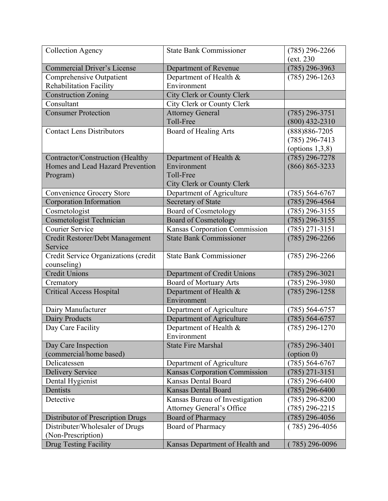| <b>Collection Agency</b>             | <b>State Bank Commissioner</b>       | $(785)$ 296-2266    |
|--------------------------------------|--------------------------------------|---------------------|
|                                      |                                      | (ext. 230)          |
| <b>Commercial Driver's License</b>   | Department of Revenue                | $(785)$ 296-3963    |
| Comprehensive Outpatient             | Department of Health &               | $(785)$ 296-1263    |
| Rehabilitation Facility              | Environment                          |                     |
| <b>Construction Zoning</b>           | <b>City Clerk or County Clerk</b>    |                     |
| Consultant                           | City Clerk or County Clerk           |                     |
| <b>Consumer Protection</b>           | <b>Attorney General</b>              | $(785)$ 296-3751    |
|                                      | Toll-Free                            | $(800)$ 432-2310    |
| <b>Contact Lens Distributors</b>     | Board of Healing Arts                | $(888)886 - 7205$   |
|                                      |                                      | $(785)$ 296-7413    |
|                                      |                                      | (options $1,3,8$ )  |
| Contractor/Construction (Healthy     | Department of Health &               | $(785)$ 296-7278    |
| Homes and Lead Hazard Prevention     | Environment                          | $(866) 865 - 3233$  |
| Program)                             | Toll-Free                            |                     |
|                                      | <b>City Clerk or County Clerk</b>    |                     |
| Convenience Grocery Store            | Department of Agriculture            | $(785) 564-6767$    |
| Corporation Information              | Secretary of State                   | $(785)$ 296-4564    |
| Cosmetologist                        | <b>Board of Cosmetology</b>          | $(785)$ 296-3155    |
| <b>Cosmetologist Technician</b>      | <b>Board of Cosmetology</b>          | $(785)$ 296-3155    |
| <b>Courier Service</b>               | <b>Kansas Corporation Commission</b> | $(785)$ 271-3151    |
| Credit Restorer/Debt Management      | <b>State Bank Commissioner</b>       | $(785)$ 296-2266    |
| Service                              |                                      |                     |
| Credit Service Organizations (credit | <b>State Bank Commissioner</b>       | $(785)$ 296-2266    |
| counseling)                          |                                      |                     |
| <b>Credit Unions</b>                 | Department of Credit Unions          | $(785)$ 296-3021    |
| Crematory                            | <b>Board of Mortuary Arts</b>        | $(785)$ 296-3980    |
| <b>Critical Access Hospital</b>      | Department of Health &               | $(785)$ 296-1258    |
|                                      | Environment                          |                     |
| Dairy Manufacturer                   | Department of Agriculture            | $(785) 564 - 6757$  |
| Dairy Products                       | Department of Agriculture            | $(785) 564-6757$    |
| Day Care Facility                    | Department of Health &               | $(785)$ 296-1270    |
|                                      | Environment                          |                     |
| Day Care Inspection                  | <b>State Fire Marshal</b>            | $(785)$ 296-3401    |
| (commercial/home based)              |                                      | $\text{(option 0)}$ |
| Delicatessen                         | Department of Agriculture            | $(785) 564-6767$    |
| <b>Delivery Service</b>              | <b>Kansas Corporation Commission</b> | (785) 271-3151      |
| Dental Hygienist                     | <b>Kansas Dental Board</b>           | $(785)$ 296-6400    |
| Dentists                             | <b>Kansas Dental Board</b>           | $(785)$ 296-6400    |
| Detective                            | Kansas Bureau of Investigation       | $(785)$ 296-8200    |
|                                      | <b>Attorney General's Office</b>     | $(785)$ 296-2215    |
| Distributor of Prescription Drugs    | Board of Pharmacy                    | $(785)$ 296-4056    |
| Distributer/Wholesaler of Drugs      | Board of Pharmacy                    | $(785)$ 296-4056    |
| (Non-Prescription)                   |                                      |                     |
| <b>Drug Testing Facility</b>         | Kansas Department of Health and      | $(785)$ 296-0096    |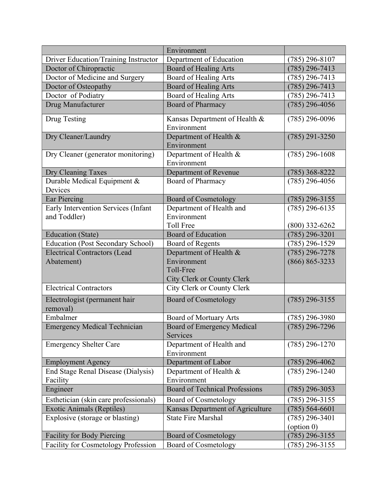|                                                     | Environment                                              |                    |
|-----------------------------------------------------|----------------------------------------------------------|--------------------|
| Driver Education/Training Instructor                | Department of Education                                  | $(785)$ 296-8107   |
| Doctor of Chiropractic                              | <b>Board of Healing Arts</b>                             | $(785)$ 296-7413   |
| Doctor of Medicine and Surgery                      | Board of Healing Arts                                    | $(785)$ 296-7413   |
| Doctor of Osteopathy                                | <b>Board of Healing Arts</b>                             | $(785)$ 296-7413   |
| Doctor of Podiatry                                  | <b>Board of Healing Arts</b>                             | $(785)$ 296-7413   |
| Drug Manufacturer                                   | <b>Board of Pharmacy</b>                                 | $(785)$ 296-4056   |
| Drug Testing                                        | Kansas Department of Health &<br>Environment             | $(785)$ 296-0096   |
| Dry Cleaner/Laundry                                 | Department of Health &<br>Environment                    | $(785)$ 291-3250   |
| Dry Cleaner (generator monitoring)                  | Department of Health &<br>Environment                    | $(785)$ 296-1608   |
| Dry Cleaning Taxes                                  | Department of Revenue                                    | $(785)$ 368-8222   |
| Durable Medical Equipment &<br>Devices              | Board of Pharmacy                                        | $(785)$ 296-4056   |
| Ear Piercing                                        | <b>Board of Cosmetology</b>                              | $(785)$ 296-3155   |
| Early Intervention Services (Infant<br>and Toddler) | Department of Health and<br>Environment                  | $(785)$ 296-6135   |
|                                                     | <b>Toll Free</b>                                         | $(800)$ 332-6262   |
| <b>Education</b> (State)                            | <b>Board of Education</b>                                | $(785)$ 296-3201   |
| <b>Education (Post Secondary School)</b>            | Board of Regents                                         | $(785)$ 296-1529   |
| <b>Electrical Contractors (Lead</b>                 | Department of Health &                                   | $(785)$ 296-7278   |
| Abatement)                                          | Environment                                              | $(866) 865 - 3233$ |
|                                                     | Toll-Free                                                |                    |
| <b>Electrical Contractors</b>                       | City Clerk or County Clerk<br>City Clerk or County Clerk |                    |
|                                                     |                                                          |                    |
| Electrologist (permanent hair<br>removal)           | <b>Board of Cosmetology</b>                              | $(785)$ 296-3155   |
| Embalmer                                            | Board of Mortuary Arts                                   | $(785)$ 296-3980   |
| <b>Emergency Medical Technician</b>                 | Board of Emergency Medical<br>Services                   | $(785)$ 296-7296   |
| <b>Emergency Shelter Care</b>                       | Department of Health and<br>Environment                  | $(785)$ 296-1270   |
| <b>Employment Agency</b>                            | Department of Labor                                      | $(785)$ 296-4062   |
| End Stage Renal Disease (Dialysis)                  | Department of Health &                                   | $(785)$ 296-1240   |
| Facility                                            | Environment                                              |                    |
| Engineer                                            | <b>Board of Technical Professions</b>                    | $(785)$ 296-3053   |
| Esthetician (skin care professionals)               | <b>Board of Cosmetology</b>                              | $(785)$ 296-3155   |
| <b>Exotic Animals (Reptiles)</b>                    | Kansas Department of Agriculture                         | $(785) 564 - 6601$ |
| Explosive (storage or blasting)                     | <b>State Fire Marshal</b>                                | $(785)$ 296-3401   |
|                                                     |                                                          | (option 0)         |
| Facility for Body Piercing                          | <b>Board of Cosmetology</b>                              | $(785)$ 296-3155   |
| <b>Facility for Cosmetology Profession</b>          | <b>Board of Cosmetology</b>                              | $(785)$ 296-3155   |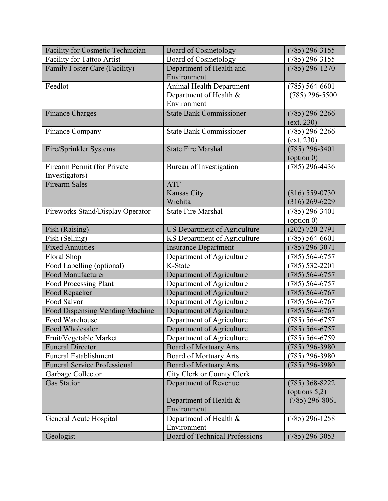| <b>Facility for Cosmetic Technician</b> | <b>Board of Cosmetology</b>           | $(785)$ 296-3155   |
|-----------------------------------------|---------------------------------------|--------------------|
| <b>Facility for Tattoo Artist</b>       | <b>Board of Cosmetology</b>           | $(785)$ 296-3155   |
| Family Foster Care (Facility)           | Department of Health and              | $(785)$ 296-1270   |
|                                         | Environment                           |                    |
| Feedlot                                 | <b>Animal Health Department</b>       | $(785) 564-6601$   |
|                                         | Department of Health &                | $(785)$ 296-5500   |
|                                         | Environment                           |                    |
| <b>Finance Charges</b>                  | <b>State Bank Commissioner</b>        | $(785)$ 296-2266   |
|                                         |                                       | (ext. 230)         |
| Finance Company                         | <b>State Bank Commissioner</b>        | $(785)$ 296-2266   |
|                                         |                                       | (ext. 230)         |
| Fire/Sprinkler Systems                  | <b>State Fire Marshal</b>             | $(785)$ 296-3401   |
|                                         |                                       | (option 0)         |
| Firearm Permit (for Private             | Bureau of Investigation               | $(785)$ 296-4436   |
| Investigators)                          |                                       |                    |
| <b>Firearm Sales</b>                    | <b>ATF</b>                            |                    |
|                                         | <b>Kansas City</b>                    | $(816) 559-0730$   |
|                                         | Wichita                               | $(316)$ 269-6229   |
| Fireworks Stand/Display Operator        | <b>State Fire Marshal</b>             | $(785)$ 296-3401   |
|                                         |                                       | (option 0)         |
| Fish (Raising)                          | <b>US Department of Agriculture</b>   | $(202)$ 720-2791   |
| Fish (Selling)                          | KS Department of Agriculture          | $(785) 564 - 6601$ |
| <b>Fixed Annuities</b>                  | <b>Insurance Department</b>           | (785) 296-3071     |
| Floral Shop                             | Department of Agriculture             | $(785) 564 - 6757$ |
| Food Labelling (optional)               | K-State                               | $(785) 532 - 2201$ |
| <b>Food Manufacturer</b>                | Department of Agriculture             | $(785) 564 - 6757$ |
| Food Processing Plant                   | Department of Agriculture             | $(785) 564-6757$   |
| Food Repacker                           | Department of Agriculture             | $(785) 564-6767$   |
| Food Salvor                             | Department of Agriculture             | $(785) 564 - 6767$ |
| Food Dispensing Vending Machine         | Department of Agriculture             | $(785) 564-6767$   |
| Food Warehouse                          | Department of Agriculture             | $(785) 564 - 6757$ |
| Food Wholesaler                         | Department of Agriculture             | $(785) 564-6757$   |
| Fruit/Vegetable Market                  | Department of Agriculture             | $(785) 564 - 6759$ |
| <b>Funeral Director</b>                 | <b>Board of Mortuary Arts</b>         | $(785)$ 296-3980   |
| <b>Funeral Establishment</b>            | <b>Board of Mortuary Arts</b>         | $(785)$ 296-3980   |
| <b>Funeral Service Professional</b>     | <b>Board of Mortuary Arts</b>         | $(785)$ 296-3980   |
| Garbage Collector                       | City Clerk or County Clerk            |                    |
| <b>Gas Station</b>                      | Department of Revenue                 | $(785)$ 368-8222   |
|                                         |                                       | (options $5,2$ )   |
|                                         | Department of Health &                | $(785)$ 296-8061   |
|                                         | Environment                           |                    |
| General Acute Hospital                  | Department of Health $\&$             | $(785)$ 296-1258   |
|                                         | Environment                           |                    |
| Geologist                               | <b>Board of Technical Professions</b> | $(785)$ 296-3053   |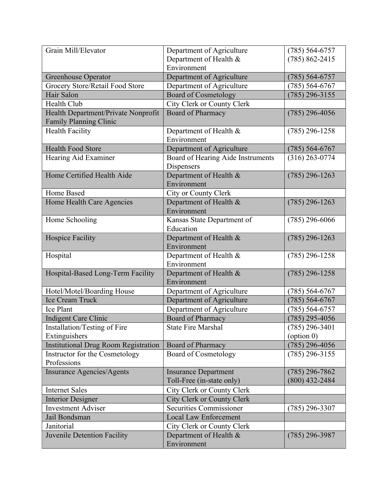| Grain Mill/Elevator                         | Department of Agriculture         | $(785) 564-6757$    |
|---------------------------------------------|-----------------------------------|---------------------|
|                                             | Department of Health &            | $(785) 862 - 2415$  |
|                                             | Environment                       |                     |
| Greenhouse Operator                         | Department of Agriculture         | $(785) 564-6757$    |
| Grocery Store/Retail Food Store             | Department of Agriculture         | $(785) 564-6767$    |
| Hair Salon                                  | <b>Board of Cosmetology</b>       | $(785)$ 296-3155    |
| Health Club                                 | City Clerk or County Clerk        |                     |
| Health Department/Private Nonprofit         | Board of Pharmacy                 | $(785)$ 296-4056    |
| Family Planning Clinic                      |                                   |                     |
| <b>Health Facility</b>                      | Department of Health &            | $(785)$ 296-1258    |
|                                             | Environment                       |                     |
| <b>Health Food Store</b>                    | Department of Agriculture         | $(785) 564-6767$    |
| Hearing Aid Examiner                        | Board of Hearing Aide Instruments | $(316)$ 263-0774    |
|                                             | Dispensers                        |                     |
| Home Certified Health Aide                  | Department of Health &            | $(785)$ 296-1263    |
|                                             | Environment                       |                     |
| Home Based                                  | City or County Clerk              |                     |
| Home Health Care Agencies                   | Department of Health &            | $(785)$ 296-1263    |
|                                             | Environment                       |                     |
| Home Schooling                              | Kansas State Department of        | $(785)$ 296-6066    |
|                                             | Education                         |                     |
| <b>Hospice Facility</b>                     | Department of Health &            | $(785)$ 296-1263    |
|                                             | Environment                       |                     |
| Hospital                                    | Department of Health &            | $(785)$ 296-1258    |
|                                             | Environment                       |                     |
| Hospital-Based Long-Term Facility           | Department of Health &            | $(785)$ 296-1258    |
|                                             | Environment                       |                     |
| Hotel/Motel/Boarding House                  | Department of Agriculture         | $(785) 564-6767$    |
| Ice Cream Truck                             | Department of Agriculture         | $(785) 564-6767$    |
| Ice Plant                                   | Department of Agriculture         | $(785) 564-6757$    |
| <b>Indigent Care Clinic</b>                 | Board of Pharmacy                 | $(785)$ 295-4056    |
| Installation/Testing of Fire                | <b>State Fire Marshal</b>         | $(785)$ 296-3401    |
| Extinguishers                               |                                   | $\text{(option 0)}$ |
| <b>Institutional Drug Room Registration</b> | Board of Pharmacy                 | $(785)$ 296-4056    |
| Instructor for the Cosmetology              | Board of Cosmetology              | $(785)$ 296-3155    |
| Professions                                 |                                   |                     |
| <b>Insurance Agencies/Agents</b>            | <b>Insurance Department</b>       | $(785)$ 296-7862    |
|                                             | Toll-Free (in-state only)         | $(800)$ 432-2484    |
| <b>Internet Sales</b>                       | City Clerk or County Clerk        |                     |
| <b>Interior Designer</b>                    | <b>City Clerk or County Clerk</b> |                     |
| <b>Investment Adviser</b>                   | <b>Securities Commissioner</b>    | $(785)$ 296-3307    |
| Jail Bondsman                               | <b>Local Law Enforcement</b>      |                     |
| Janitorial                                  | City Clerk or County Clerk        |                     |
| Juvenile Detention Facility                 | Department of Health &            | $(785)$ 296-3987    |
|                                             | Environment                       |                     |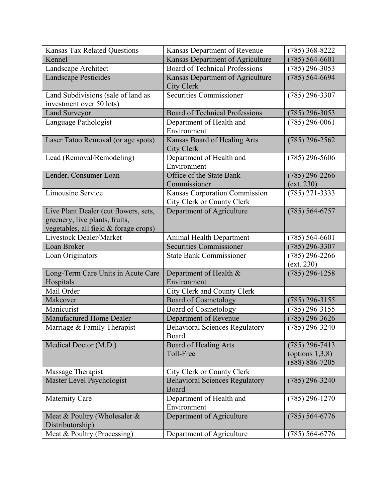| <b>Kansas Tax Related Questions</b>                                                                              | Kansas Department of Revenue                                | $(785)$ 368-8222                                             |
|------------------------------------------------------------------------------------------------------------------|-------------------------------------------------------------|--------------------------------------------------------------|
| Kennel                                                                                                           | Kansas Department of Agriculture                            | $(785) 564 - 6601$                                           |
| Landscape Architect                                                                                              | <b>Board of Technical Professions</b>                       | $(785)$ 296-3053                                             |
| <b>Landscape Pesticides</b>                                                                                      | Kansas Department of Agriculture<br><b>City Clerk</b>       | $(785) 564 - 6694$                                           |
| Land Subdivisions (sale of land as<br>investment over 50 lots)                                                   | Securities Commissioner                                     | $(785)$ 296-3307                                             |
| <b>Land Surveyor</b>                                                                                             | <b>Board of Technical Professions</b>                       | $(785)$ 296-3053                                             |
| Language Pathologist                                                                                             | Department of Health and<br>Environment                     | $(785)$ 296-0061                                             |
| Laser Tatoo Removal (or age spots)                                                                               | Kansas Board of Healing Arts<br><b>City Clerk</b>           | $(785)$ 296-2562                                             |
| Lead (Removal/Remodeling)                                                                                        | Department of Health and<br>Environment                     | $(785)$ 296-5606                                             |
| Lender, Consumer Loan                                                                                            | Office of the State Bank<br>Commissioner                    | $(785)$ 296-2266<br>(ext. 230)                               |
| Limousine Service                                                                                                | Kansas Corporation Commission<br>City Clerk or County Clerk | $(785)$ 271-3333                                             |
| Live Plant Dealer (cut flowers, sets,<br>greenery, live plants, fruits,<br>vegetables, all field & forage crops) | Department of Agriculture                                   | $(785) 564 - 6757$                                           |
| Livestock Dealer/Market                                                                                          | Animal Health Department                                    | $(785) 564 - 6601$                                           |
|                                                                                                                  |                                                             |                                                              |
| Loan Broker                                                                                                      | <b>Securities Commissioner</b>                              | $(785)$ 296-3307                                             |
| Loan Originators                                                                                                 | <b>State Bank Commissioner</b>                              | $(785)$ 296-2266<br>(ext. 230)                               |
| Long-Term Care Units in Acute Care<br>Hospitals                                                                  | Department of Health &<br>Environment                       | $(785)$ 296-1258                                             |
| Mail Order                                                                                                       | City Clerk and County Clerk                                 |                                                              |
| Makeover                                                                                                         | <b>Board of Cosmetology</b>                                 | $(785)$ 296-3155                                             |
| Manicurist                                                                                                       | <b>Board of Cosmetology</b>                                 | $(785)$ 296-3155                                             |
| Manufactured Home Dealer                                                                                         | Department of Revenue                                       | $(785)$ 296-3626                                             |
| Marriage & Family Therapist                                                                                      | <b>Behavioral Sciences Regulatory</b><br>Board              | $(785)$ 296-3240                                             |
| Medical Doctor (M.D.)                                                                                            | <b>Board of Healing Arts</b><br>Toll-Free                   | $(785)$ 296-7413<br>(options $1,3,8$ )<br>$(888) 886 - 7205$ |
| Massage Therapist                                                                                                | City Clerk or County Clerk                                  |                                                              |
| Master Level Psychologist                                                                                        | <b>Behavioral Sciences Regulatory</b><br>Board              | $(785)$ 296-3240                                             |
| Maternity Care                                                                                                   | Department of Health and<br>Environment                     | $(785)$ 296-1270                                             |
| Meat & Poultry (Wholesaler &<br>Distributorship)                                                                 | Department of Agriculture                                   | $(785) 564-6776$                                             |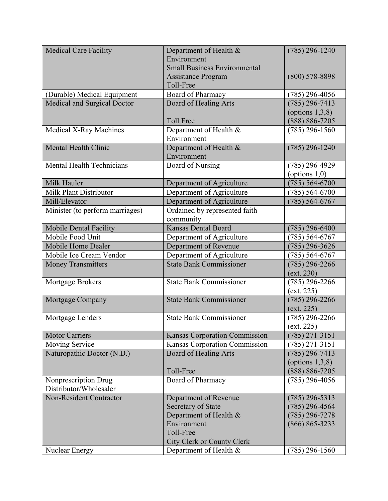| <b>Medical Care Facility</b>     | Department of Health &               | $(785)$ 296-1240   |
|----------------------------------|--------------------------------------|--------------------|
|                                  | Environment                          |                    |
|                                  | <b>Small Business Environmental</b>  |                    |
|                                  | <b>Assistance Program</b>            | $(800)$ 578-8898   |
|                                  | Toll-Free                            |                    |
| (Durable) Medical Equipment      | Board of Pharmacy                    | $(785)$ 296-4056   |
| Medical and Surgical Doctor      | <b>Board of Healing Arts</b>         | $(785)$ 296-7413   |
|                                  |                                      | (options $1,3,8$ ) |
|                                  | <b>Toll Free</b>                     | $(888) 886 - 7205$ |
| <b>Medical X-Ray Machines</b>    | Department of Health &               | $(785)$ 296-1560   |
|                                  | Environment                          |                    |
| <b>Mental Health Clinic</b>      | Department of Health &               | $(785)$ 296-1240   |
|                                  | Environment                          |                    |
| <b>Mental Health Technicians</b> | <b>Board of Nursing</b>              | $(785)$ 296-4929   |
|                                  |                                      | (options $1,0$ )   |
| Milk Hauler                      | Department of Agriculture            | $(785) 564-6700$   |
| Milk Plant Distributor           | Department of Agriculture            | $(785) 564-6700$   |
| Mill/Elevator                    | Department of Agriculture            | $(785) 564 - 6767$ |
| Minister (to perform marriages)  | Ordained by represented faith        |                    |
|                                  | community                            |                    |
| <b>Mobile Dental Facility</b>    | <b>Kansas Dental Board</b>           | $(785)$ 296-6400   |
| Mobile Food Unit                 | Department of Agriculture            | $(785) 564-6767$   |
| Mobile Home Dealer               | Department of Revenue                | $(785)$ 296-3626   |
| Mobile Ice Cream Vendor          | Department of Agriculture            | $(785) 564-6767$   |
| <b>Money Transmitters</b>        | <b>State Bank Commissioner</b>       | $(785)$ 296-2266   |
|                                  |                                      | (ext. 230)         |
| Mortgage Brokers                 | <b>State Bank Commissioner</b>       | $(785)$ 296-2266   |
|                                  |                                      | (ext. 225)         |
| Mortgage Company                 | <b>State Bank Commissioner</b>       | $(785)$ 296-2266   |
|                                  |                                      | (xt. 225)          |
| Mortgage Lenders                 | <b>State Bank Commissioner</b>       | $(785)$ 296-2266   |
|                                  |                                      | (ext. 225)         |
| <b>Motor Carriers</b>            | <b>Kansas Corporation Commission</b> | $(785)$ 271-3151   |
| <b>Moving Service</b>            | Kansas Corporation Commission        | $(785)$ 271-3151   |
| Naturopathic Doctor (N.D.)       | Board of Healing Arts                | $(785)$ 296-7413   |
|                                  |                                      | (options $1,3,8$ ) |
|                                  | Toll-Free                            | $(888) 886 - 7205$ |
| Nonprescription Drug             | Board of Pharmacy                    | $(785)$ 296-4056   |
| Distributor/Wholesaler           |                                      |                    |
| <b>Non-Resident Contractor</b>   | Department of Revenue                | $(785)$ 296-5313   |
|                                  | Secretary of State                   | $(785)$ 296-4564   |
|                                  | Department of Health &               | $(785)$ 296-7278   |
|                                  | Environment<br>Toll-Free             | $(866) 865 - 3233$ |
|                                  | City Clerk or County Clerk           |                    |
|                                  | Department of Health &               | $(785)$ 296-1560   |
| Nuclear Energy                   |                                      |                    |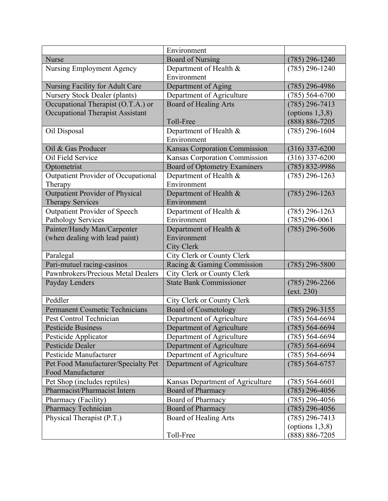|                                        | Environment                          |                    |
|----------------------------------------|--------------------------------------|--------------------|
| <b>Nurse</b>                           | <b>Board of Nursing</b>              | $(785)$ 296-1240   |
| <b>Nursing Employment Agency</b>       | Department of Health &               | $(785)$ 296-1240   |
|                                        | Environment                          |                    |
| Nursing Facility for Adult Care        | Department of Aging                  | $(785)$ 296-4986   |
| <b>Nursery Stock Dealer (plants)</b>   | Department of Agriculture            | $(785) 564 - 6700$ |
| Occupational Therapist (O.T.A.) or     | <b>Board of Healing Arts</b>         | $(785)$ 296-7413   |
| Occupational Therapist Assistant       |                                      | (options $1,3,8$ ) |
|                                        | Toll-Free                            | (888) 886-7205     |
| Oil Disposal                           | Department of Health &               | $(785)$ 296-1604   |
|                                        | Environment                          |                    |
| Oil & Gas Producer                     | <b>Kansas Corporation Commission</b> | $(316)$ 337-6200   |
| Oil Field Service                      | Kansas Corporation Commission        | $(316)$ 337-6200   |
| Optometrist                            | <b>Board of Optometry Examiners</b>  | $(785) 832 - 9986$ |
| Outpatient Provider of Occupational    | Department of Health &               | $(785)$ 296-1263   |
| Therapy                                | Environment                          |                    |
| <b>Outpatient Provider of Physical</b> | Department of Health &               | $(785)$ 296-1263   |
| <b>Therapy Services</b>                | Environment                          |                    |
| <b>Outpatient Provider of Speech</b>   | Department of Health &               | $(785)$ 296-1263   |
| Pathology Services                     | Environment                          | $(785)296-0061$    |
| Painter/Handy Man/Carpenter            | Department of Health &               | $(785)$ 296-5606   |
| (when dealing with lead paint)         | Environment                          |                    |
|                                        | <b>City Clerk</b>                    |                    |
| Paralegal                              | City Clerk or County Clerk           |                    |
| Pari-mutuel racing-casinos             | Racing & Gaming Commission           | $(785)$ 296-5800   |
| Pawnbrokers/Precious Metal Dealers     | City Clerk or County Clerk           |                    |
| Payday Lenders                         | <b>State Bank Commissioner</b>       | $(785)$ 296-2266   |
|                                        |                                      | (ext. 230)         |
| Peddler                                | City Clerk or County Clerk           |                    |
| <b>Permanent Cosmetic Technicians</b>  | <b>Board of Cosmetology</b>          | $(785)$ 296-3155   |
| Pest Control Technician                | Department of Agriculture            | $(785) 564 - 6694$ |
| Pesticide Business                     | Department of Agriculture            | $(785) 564-6694$   |
| Pesticide Applicator                   | Department of Agriculture            | $(785) 564 - 6694$ |
| <b>Pesticide Dealer</b>                | Department of Agriculture            | $(785) 564 - 6694$ |
| Pesticide Manufacturer                 | Department of Agriculture            | $(785) 564 - 6694$ |
| Pet Food Manufacturer/Specialty Pet    | Department of Agriculture            | $(785) 564 - 6757$ |
| Food Manufacturer                      |                                      |                    |
| Pet Shop (includes reptiles)           | Kansas Department of Agriculture     | $(785)$ 564-6601   |
| Pharmacist/Pharmacist Intern           | Board of Pharmacy                    | $(785)$ 296-4056   |
| Pharmacy (Facility)                    | Board of Pharmacy                    | $(785)$ 296-4056   |
| <b>Pharmacy Technician</b>             | <b>Board of Pharmacy</b>             | $(785)$ 296-4056   |
| Physical Therapist (P.T.)              | Board of Healing Arts                | $(785)$ 296-7413   |
|                                        |                                      | (options $1,3,8$ ) |
|                                        | Toll-Free                            | $(888) 886 - 7205$ |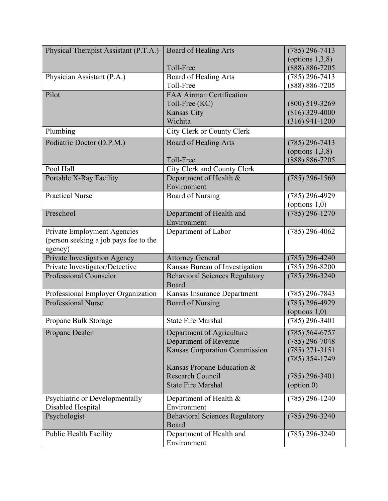| Physical Therapist Assistant (P.T.A.) | <b>Board of Healing Arts</b>                   | $(785)$ 296-7413    |
|---------------------------------------|------------------------------------------------|---------------------|
|                                       |                                                | (options $1,3,8$ )  |
|                                       | Toll-Free                                      | $(888) 886 - 7205$  |
| Physician Assistant (P.A.)            | Board of Healing Arts                          | $(785)$ 296-7413    |
|                                       | Toll-Free                                      | $(888) 886 - 7205$  |
| Pilot                                 | <b>FAA Airman Certification</b>                |                     |
|                                       | Toll-Free (KC)                                 | $(800)$ 519-3269    |
|                                       | <b>Kansas City</b>                             | $(816)$ 329-4000    |
|                                       | Wichita                                        | $(316)$ 941-1200    |
| Plumbing                              | City Clerk or County Clerk                     |                     |
| Podiatric Doctor (D.P.M.)             | <b>Board of Healing Arts</b>                   | $(785)$ 296-7413    |
|                                       |                                                | (options $1,3,8$ )  |
|                                       | Toll-Free                                      | $(888) 886 - 7205$  |
| Pool Hall                             | City Clerk and County Clerk                    |                     |
| Portable X-Ray Facility               | Department of Health &                         | $(785)$ 296-1560    |
|                                       | Environment                                    |                     |
| <b>Practical Nurse</b>                | <b>Board of Nursing</b>                        | $(785)$ 296-4929    |
|                                       |                                                | (options $1,0$ )    |
| Preschool                             | Department of Health and                       | $(785)$ 296-1270    |
|                                       | Environment                                    |                     |
| <b>Private Employment Agencies</b>    | Department of Labor                            | $(785)$ 296-4062    |
| (person seeking a job pays fee to the |                                                |                     |
| agency)                               |                                                |                     |
| Private Investigation Agency          | <b>Attorney General</b>                        | $(785)$ 296-4240    |
|                                       |                                                |                     |
| Private Investigator/Detective        | Kansas Bureau of Investigation                 | $(785)$ 296-8200    |
| <b>Professional Counselor</b>         | <b>Behavioral Sciences Regulatory</b><br>Board | $(785)$ 296-3240    |
| Professional Employer Organization    | Kansas Insurance Department                    | $(785)$ 296-7843    |
| <b>Professional Nurse</b>             | <b>Board of Nursing</b>                        | $(785)$ 296-4929    |
|                                       |                                                | (options $1,0$ )    |
| Propane Bulk Storage                  | <b>State Fire Marshal</b>                      | $(785)$ 296-3401    |
| Propane Dealer                        | Department of Agriculture                      | $(785) 564 - 6757$  |
|                                       | Department of Revenue                          | $(785)$ 296-7048    |
|                                       | Kansas Corporation Commission                  | $(785)$ 271-3151    |
|                                       |                                                | $(785)$ 354-1749    |
|                                       | Kansas Propane Education &                     |                     |
|                                       | <b>Research Council</b>                        | $(785)$ 296-3401    |
|                                       | <b>State Fire Marshal</b>                      | $\text{(option 0)}$ |
| Psychiatric or Developmentally        | Department of Health &                         | $(785)$ 296-1240    |
| Disabled Hospital                     | Environment                                    |                     |
| Psychologist                          | <b>Behavioral Sciences Regulatory</b>          | $(785)$ 296-3240    |
|                                       | Board                                          |                     |
| <b>Public Health Facility</b>         | Department of Health and                       | $(785)$ 296-3240    |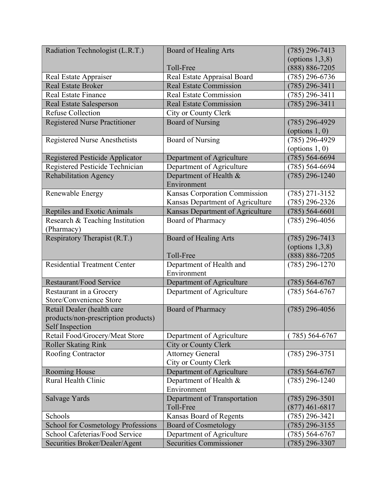| Radiation Technologist (L.R.T.)           | <b>Board of Healing Arts</b>     | $(785)$ 296-7413   |
|-------------------------------------------|----------------------------------|--------------------|
|                                           |                                  | (options $1,3,8$ ) |
|                                           | Toll-Free                        | $(888) 886 - 7205$ |
| Real Estate Appraiser                     | Real Estate Appraisal Board      | $(785)$ 296-6736   |
| <b>Real Estate Broker</b>                 | <b>Real Estate Commission</b>    | $(785)$ 296-3411   |
| Real Estate Finance                       | <b>Real Estate Commission</b>    | $(785)$ 296-3411   |
| <b>Real Estate Salesperson</b>            | <b>Real Estate Commission</b>    | $(785)$ 296-3411   |
| <b>Refuse Collection</b>                  | City or County Clerk             |                    |
| <b>Registered Nurse Practitioner</b>      | <b>Board of Nursing</b>          | $(785)$ 296-4929   |
|                                           |                                  | (options $1, 0$ )  |
| <b>Registered Nurse Anesthetists</b>      | <b>Board of Nursing</b>          | $(785)$ 296-4929   |
|                                           |                                  | (options $1, 0$ )  |
| Registered Pesticide Applicator           | Department of Agriculture        | $(785) 564 - 6694$ |
| Registered Pesticide Technician           | Department of Agriculture        | $(785) 564 - 6694$ |
| <b>Rehabilitation Agency</b>              | Department of Health &           | $(785)$ 296-1240   |
|                                           | Environment                      |                    |
| Renewable Energy                          | Kansas Corporation Commission    | $(785)$ 271-3152   |
|                                           | Kansas Department of Agriculture | $(785)$ 296-2326   |
| <b>Reptiles and Exotic Animals</b>        | Kansas Department of Agriculture | $(785) 564 - 6601$ |
| Research & Teaching Institution           | Board of Pharmacy                | $(785)$ 296-4056   |
| (Pharmacy)                                |                                  |                    |
| Respiratory Therapist (R.T.)              | <b>Board of Healing Arts</b>     | $(785)$ 296-7413   |
|                                           |                                  | (options $1,3,8$ ) |
|                                           | Toll-Free                        | $(888) 886 - 7205$ |
| <b>Residential Treatment Center</b>       | Department of Health and         | $(785)$ 296-1270   |
|                                           | Environment                      |                    |
| Restaurant/Food Service                   | Department of Agriculture        | $(785) 564-6767$   |
| Restaurant in a Grocery                   | Department of Agriculture        | $(785) 564-6767$   |
| Store/Convenience Store                   |                                  |                    |
| Retail Dealer (health care                | Board of Pharmacy                | $(785)$ 296-4056   |
| products/non-prescription products)       |                                  |                    |
| Self Inspection                           |                                  |                    |
| Retail Food/Grocery/Meat Store            | Department of Agriculture        | 785) 564-6767      |
| <b>Roller Skating Rink</b>                | <b>City or County Clerk</b>      |                    |
| Roofing Contractor                        | <b>Attorney General</b>          | $(785)$ 296-3751   |
|                                           | City or County Clerk             |                    |
| Rooming House                             | Department of Agriculture        | $(785) 564-6767$   |
| Rural Health Clinic                       | Department of Health &           | $(785)$ 296-1240   |
|                                           | Environment                      |                    |
| Salvage Yards                             | Department of Transportation     | $(785)$ 296-3501   |
|                                           | Toll-Free                        | (877) 461-6817     |
| Schools                                   | Kansas Board of Regents          | $(785)$ 296-3421   |
| <b>School for Cosmetology Professions</b> | <b>Board of Cosmetology</b>      | $(785)$ 296-3155   |
| School Cafeterias/Food Service            | Department of Agriculture        | $(785) 564-6767$   |
| Securities Broker/Dealer/Agent            | <b>Securities Commissioner</b>   | $(785)$ 296-3307   |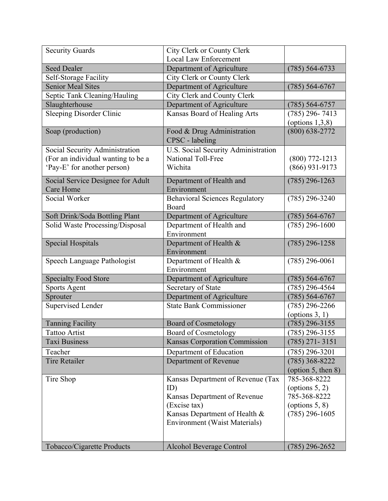| <b>Security Guards</b>             | City Clerk or County Clerk            |                          |
|------------------------------------|---------------------------------------|--------------------------|
|                                    | <b>Local Law Enforcement</b>          |                          |
| <b>Seed Dealer</b>                 | Department of Agriculture             | $(785) 564 - 6733$       |
| Self-Storage Facility              | City Clerk or County Clerk            |                          |
| <b>Senior Meal Sites</b>           | Department of Agriculture             | $(785) 564-6767$         |
| Septic Tank Cleaning/Hauling       | City Clerk and County Clerk           |                          |
| Slaughterhouse                     | Department of Agriculture             | $(785) 564-6757$         |
| <b>Sleeping Disorder Clinic</b>    | Kansas Board of Healing Arts          | $(785)$ 296-7413         |
|                                    |                                       | (options $1,3,8$ )       |
| Soap (production)                  | Food & Drug Administration            | $(800) 638 - 2772$       |
|                                    | CPSC - labeling                       |                          |
| Social Security Administration     | U.S. Social Security Administration   |                          |
| (For an individual wanting to be a | National Toll-Free                    | $(800)$ 772-1213         |
| 'Pay-E' for another person)        | Wichita                               | $(866)$ 931-9173         |
| Social Service Designee for Adult  | Department of Health and              | $(785)$ 296-1263         |
| Care Home                          | Environment                           |                          |
| Social Worker                      | <b>Behavioral Sciences Regulatory</b> | $(785)$ 296-3240         |
|                                    | Board                                 |                          |
| Soft Drink/Soda Bottling Plant     | Department of Agriculture             | $(785) 564-6767$         |
| Solid Waste Processing/Disposal    | Department of Health and              | $(785)$ 296-1600         |
|                                    | Environment                           |                          |
| <b>Special Hospitals</b>           | Department of Health &                | $(785)$ 296-1258         |
|                                    | Environment                           |                          |
| Speech Language Pathologist        | Department of Health &                | $(785)$ 296-0061         |
|                                    | Environment                           |                          |
| <b>Specialty Food Store</b>        | Department of Agriculture             | $(785) 564-6767$         |
| Sports Agent                       | Secretary of State                    | $(785)$ 296-4564         |
| Sprouter                           | Department of Agriculture             | $(785) 564-6767$         |
| Supervised Lender                  | <b>State Bank Commissioner</b>        | $(785)$ 296-2266         |
|                                    |                                       | (options $3, 1$ )        |
| <b>Tanning Facility</b>            | <b>Board of Cosmetology</b>           | $(785)$ 296-3155         |
| Tattoo Artist                      | Board of Cosmetology                  | $(785)$ 296-3155         |
| <b>Taxi Business</b>               | <b>Kansas Corporation Commission</b>  | $(785)$ 271 - 3151       |
| Teacher                            | Department of Education               | $(785)$ 296-3201         |
| <b>Tire Retailer</b>               | Department of Revenue                 | $(785)$ 368-8222         |
|                                    |                                       | (option $5$ , then $8$ ) |
| Tire Shop                          | Kansas Department of Revenue (Tax     | 785-368-8222             |
|                                    | ID)                                   | (options $5, 2$ )        |
|                                    | Kansas Department of Revenue          | 785-368-8222             |
|                                    | (Excise tax)                          | (options $5, 8$ )        |
|                                    | Kansas Department of Health &         | $(785)$ 296-1605         |
|                                    | Environment (Waist Materials)         |                          |
|                                    |                                       |                          |
| Tobacco/Cigarette Products         | Alcohol Beverage Control              | $(785)$ 296-2652         |